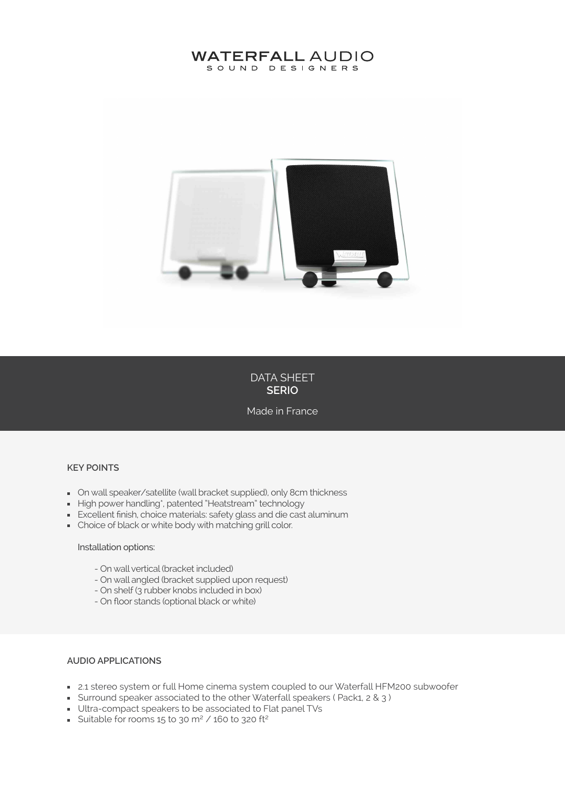# **WATERFALL AUDIO** SOUND DESIGNERS



DATA SHEET **SERIO**

Made in France

#### **KEY POINTS**

- **De Stepa** Speaker/satellite (wall bracket supplied), only 8cm thickness
- High power handling\*, patented "Heatstream" technology
- Excellent finish, choice materials: safety glass and die cast aluminum
- **Choice of black or white body with matching grill color.**

#### Installation options:

- On wall vertical (bracket included)
- On wall angled (bracket supplied upon request)
- On shelf (3 rubber knobs included in box)
- On floor stands (optional black or white)

### **AUDIO APPLICATIONS**

- 2.1 stereo system or full Home cinema system coupled to our Waterfall HFM200 subwoofer
- Surround speaker associated to the other Waterfall speakers ( Pack1, 2 & 3 )
- Ultra-compact speakers to be associated to Flat panel TVs
- Suitable for rooms 15 to 30 m<sup>2</sup> / 160 to 320 ft<sup>2</sup>